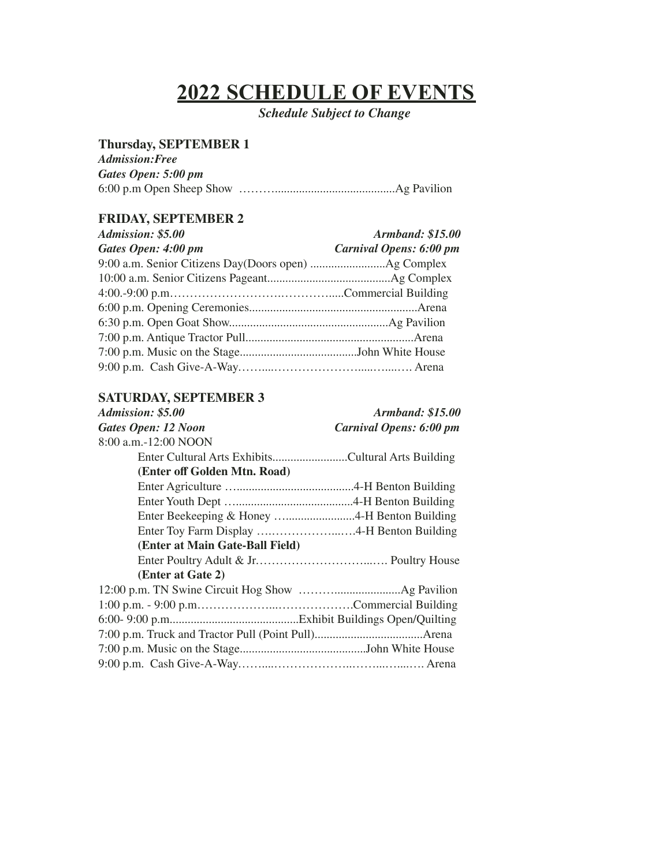# **2022 SCHEDULE OF EVENTS**

*Schedule Subject to Change*

## **Thursday, SEPTEMBER 1**

| <b>Admission:Free</b> |  |
|-----------------------|--|
| Gates Open: 5:00 pm   |  |
|                       |  |

# **FRIDAY, SEPTEMBER 2**

| Admission: \$5.00   | <b>Armband: \$15.00</b> |
|---------------------|-------------------------|
| Gates Open: 4:00 pm | Carnival Opens: 6:00 pm |
|                     |                         |
|                     |                         |
|                     |                         |
|                     |                         |
|                     |                         |
|                     |                         |
|                     |                         |
|                     |                         |

## **SATURDAY, SEPTEMBER 3**

| Admission: \$5.00                                  | <i><b>Armband: \$15.00</b></i> |
|----------------------------------------------------|--------------------------------|
| Gates Open: 12 Noon                                | Carnival Opens: 6:00 pm        |
| 8:00 a.m.-12:00 NOON                               |                                |
| Enter Cultural Arts ExhibitsCultural Arts Building |                                |
| (Enter off Golden Mtn. Road)                       |                                |
|                                                    |                                |
|                                                    |                                |
|                                                    |                                |
|                                                    |                                |
| (Enter at Main Gate-Ball Field)                    |                                |
|                                                    |                                |
| (Enter at Gate 2)                                  |                                |
|                                                    |                                |
|                                                    |                                |
|                                                    |                                |
|                                                    |                                |
|                                                    |                                |
|                                                    |                                |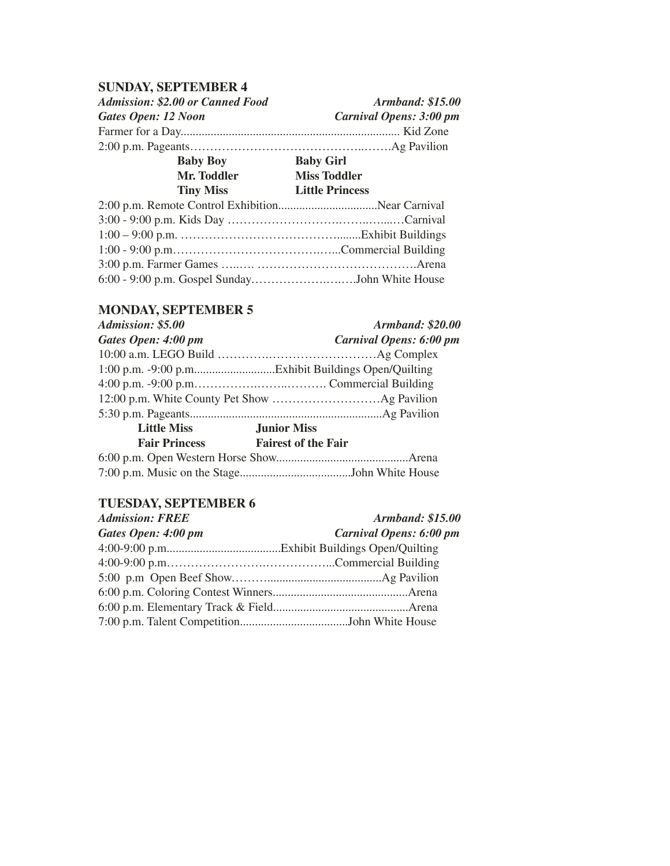#### **SUNDAY, SEPTEMBER 4**

*Admission: \$2.00 or Canned Food Armband: \$15.00 Gates Open: 12 Noon Carnival Opens: 3:00 pm* Farmer for a Day......................................................................... Kid Zone 2:00 p.m. Pageants……………………………………..…….Ag Pavilion **Baby Boy Baby Girl Mr. Toddler Miss Toddler Tiny Miss Little Princess** 2:00 p.m. Remote Control Exhibition.................................Near Carnival

| 6:00 - 9:00 p.m. Gospel SundayJohn White House |  |
|------------------------------------------------|--|

## **MONDAY, SEPTEMBER 5**

| Admission: \$5.00    | <b>Armband: \$20.00</b>        |
|----------------------|--------------------------------|
| Gates Open: 4:00 pm  | <b>Carnival Opens: 6:00 pm</b> |
|                      |                                |
|                      |                                |
|                      |                                |
|                      |                                |
|                      |                                |
| <b>Little Miss</b>   | <b>Junior Miss</b>             |
| <b>Fair Princess</b> | <b>Fairest of the Fair</b>     |
|                      |                                |
|                      |                                |

#### **TUESDAY, SEPTEMBER 6**

| <b>Admission: FREE</b> | <b>Armband: \$15.00</b> |
|------------------------|-------------------------|
| Gates Open: 4:00 pm    | Carnival Opens: 6:00 pm |
|                        |                         |
|                        |                         |
|                        |                         |
|                        |                         |
|                        |                         |
|                        |                         |